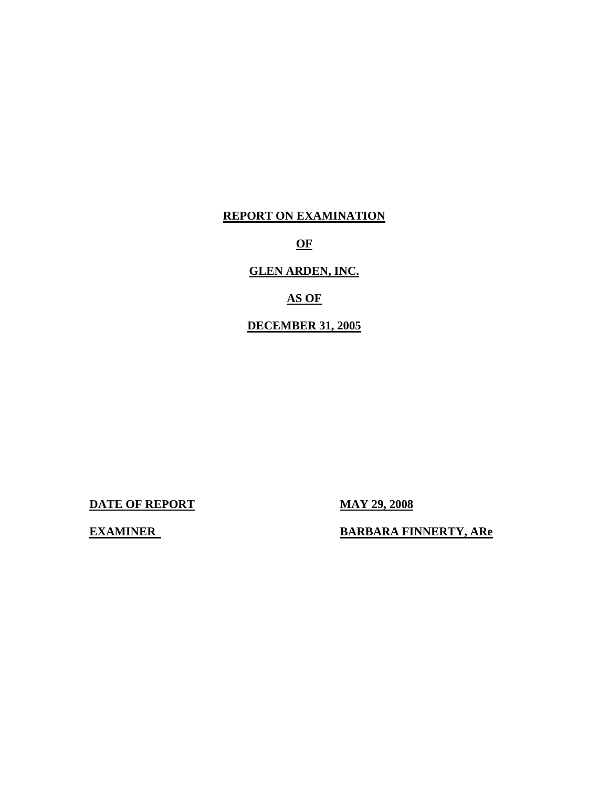## **REPORT ON EXAMINATION**

**OF** 

## **GLEN ARDEN, INC.**

## **AS OF**

## **DECEMBER 31, 2005**

**DATE OF REPORT MAY 29, 2008** 

**EXAMINER** 

**EARBARA FINNERTY, ARE**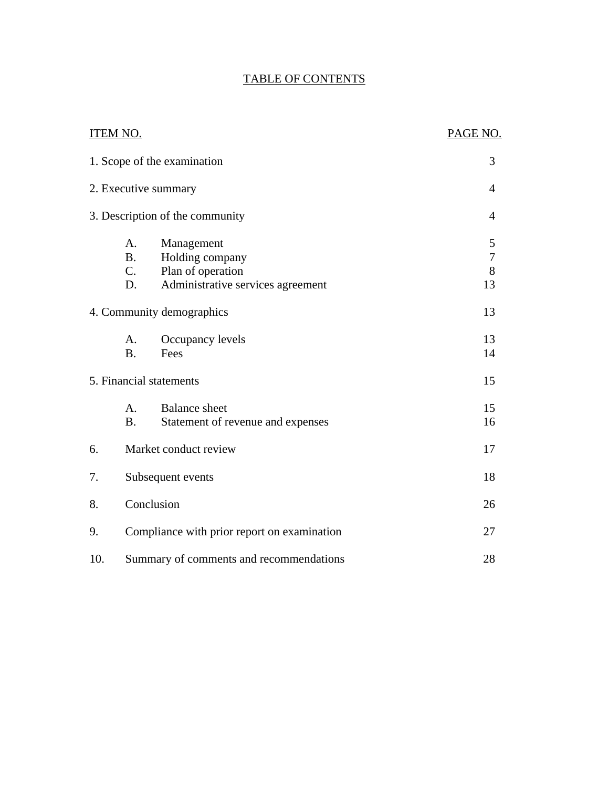## TABLE OF CONTENTS

|     | <b>ITEM NO.</b>                       |                                                                                         | PAGE NO.                                     |
|-----|---------------------------------------|-----------------------------------------------------------------------------------------|----------------------------------------------|
|     |                                       | 1. Scope of the examination                                                             | 3                                            |
|     |                                       | 2. Executive summary                                                                    | $\overline{4}$                               |
|     |                                       | 3. Description of the community                                                         | $\overline{4}$                               |
|     | A.<br><b>B</b> .<br>$C_{\cdot}$<br>D. | Management<br>Holding company<br>Plan of operation<br>Administrative services agreement | $\mathfrak s$<br>$\boldsymbol{7}$<br>8<br>13 |
|     |                                       | 4. Community demographics                                                               | 13                                           |
|     | A.<br><b>B.</b>                       | Occupancy levels<br>Fees                                                                | 13<br>14                                     |
|     |                                       | 5. Financial statements                                                                 | 15                                           |
|     | A.<br><b>B.</b>                       | <b>Balance</b> sheet<br>Statement of revenue and expenses                               | 15<br>16                                     |
| 6.  |                                       | Market conduct review                                                                   | 17                                           |
| 7.  |                                       | Subsequent events                                                                       | 18                                           |
| 8.  |                                       | Conclusion                                                                              | 26                                           |
| 9.  |                                       | Compliance with prior report on examination                                             | 27                                           |
| 10. |                                       | Summary of comments and recommendations                                                 | 28                                           |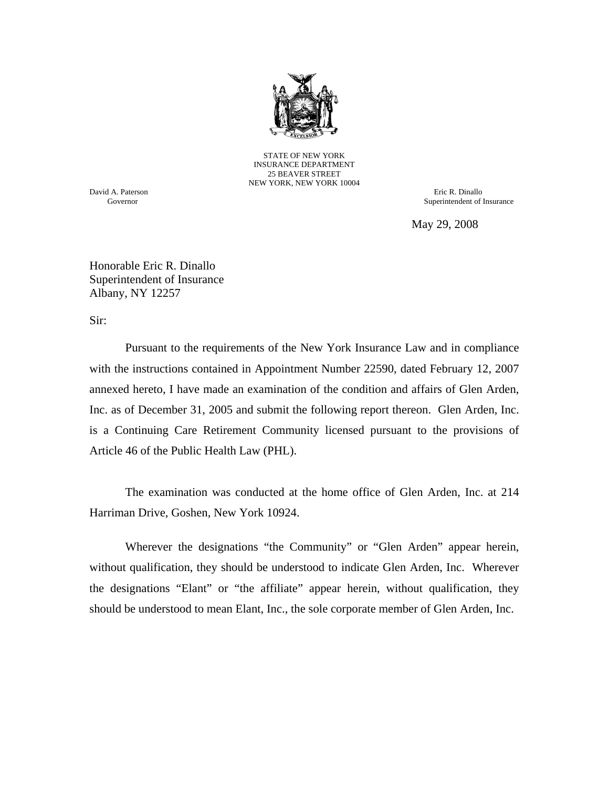

STATE OF NEW YORK INSURANCE DEPARTMENT 25 BEAVER STREET NEW YORK, NEW YORK 10004

David A. Paterson Eric R. Dinallo Governor Superintendent of Insurance

May 29, 2008

Honorable Eric R. Dinallo Superintendent of Insurance Albany, NY 12257

Sir:

Pursuant to the requirements of the New York Insurance Law and in compliance with the instructions contained in Appointment Number 22590, dated February 12, 2007 annexed hereto, I have made an examination of the condition and affairs of Glen Arden, Inc. as of December 31, 2005 and submit the following report thereon. Glen Arden, Inc. is a Continuing Care Retirement Community licensed pursuant to the provisions of Article 46 of the Public Health Law (PHL).

The examination was conducted at the home office of Glen Arden, Inc. at 214 Harriman Drive, Goshen, New York 10924.

Wherever the designations "the Community" or "Glen Arden" appear herein, without qualification, they should be understood to indicate Glen Arden, Inc. Wherever the designations "Elant" or "the affiliate" appear herein, without qualification, they should be understood to mean Elant, Inc., the sole corporate member of Glen Arden, Inc.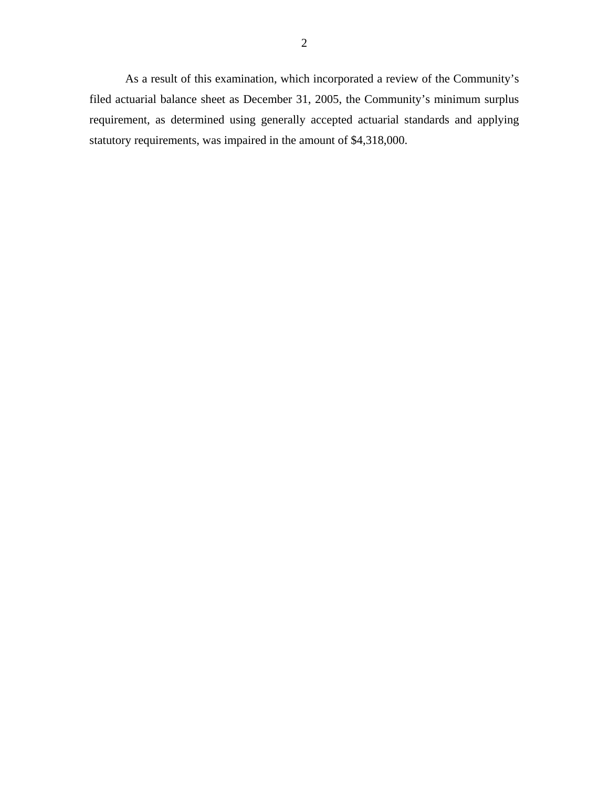As a result of this examination, which incorporated a review of the Community's filed actuarial balance sheet as December 31, 2005, the Community's minimum surplus requirement, as determined using generally accepted actuarial standards and applying statutory requirements, was impaired in the amount of \$4,318,000.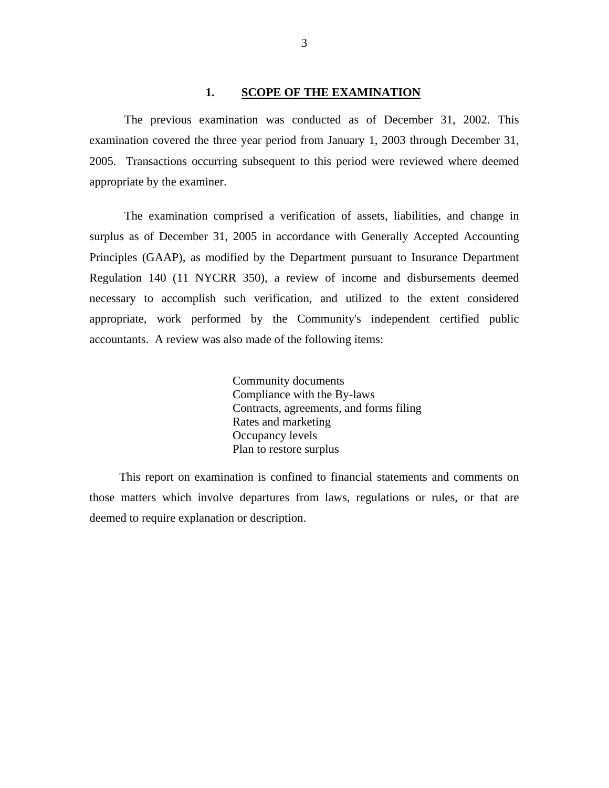#### **1. SCOPE OF THE EXAMINATION**

<span id="page-4-0"></span>The previous examination was conducted as of December 31, 2002. This examination covered the three year period from January 1, 2003 through December 31, 2005. Transactions occurring subsequent to this period were reviewed where deemed appropriate by the examiner.

The examination comprised a verification of assets, liabilities, and change in surplus as of December 31, 2005 in accordance with Generally Accepted Accounting Principles (GAAP), as modified by the Department pursuant to Insurance Department Regulation 140 (11 NYCRR 350), a review of income and disbursements deemed necessary to accomplish such verification, and utilized to the extent considered appropriate, work performed by the Community's independent certified public accountants. A review was also made of the following items:

> Community documents Compliance with the By-laws Contracts, agreements, and forms filing Rates and marketing Occupancy levels Plan to restore surplus

This report on examination is confined to financial statements and comments on those matters which involve departures from laws, regulations or rules, or that are deemed to require explanation or description.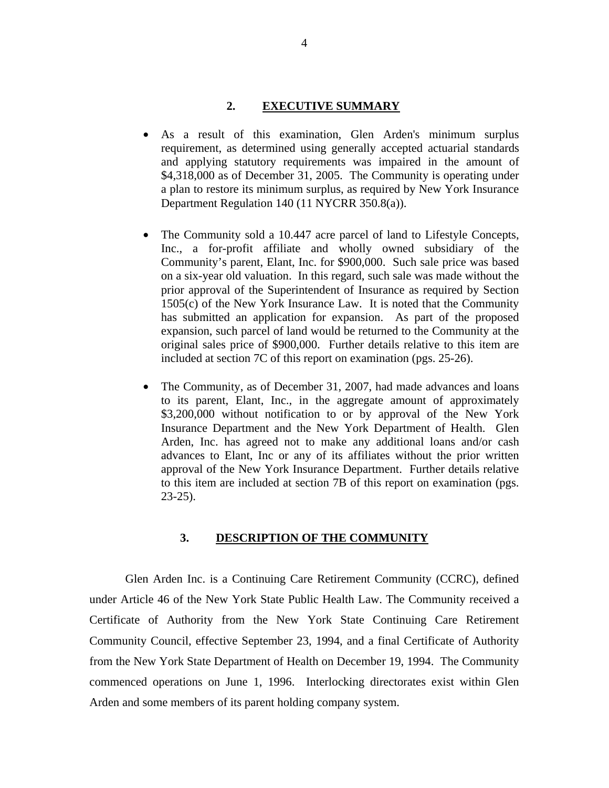#### **2. EXECUTIVE SUMMARY**

- <span id="page-5-0"></span>As a result of this examination, Glen Arden's minimum surplus requirement, as determined using generally accepted actuarial standards and applying statutory requirements was impaired in the amount of \$4,318,000 as of December 31, 2005. The Community is operating under a plan to restore its minimum surplus, as required by New York Insurance Department Regulation 140 (11 NYCRR 350.8(a)).
- The Community sold a 10.447 acre parcel of land to Lifestyle Concepts, Inc., a for-profit affiliate and wholly owned subsidiary of the Community's parent, Elant, Inc. for \$900,000. Such sale price was based on a six-year old valuation. In this regard, such sale was made without the prior approval of the Superintendent of Insurance as required by Section 1505(c) of the New York Insurance Law. It is noted that the Community has submitted an application for expansion. As part of the proposed expansion, such parcel of land would be returned to the Community at the original sales price of \$900,000. Further details relative to this item are included at section 7C of this report on examination (pgs. 25-26).
- The Community, as of December 31, 2007, had made advances and loans to its parent, Elant, Inc., in the aggregate amount of approximately \$3,200,000 without notification to or by approval of the New York Insurance Department and the New York Department of Health. Glen Arden, Inc. has agreed not to make any additional loans and/or cash advances to Elant, Inc or any of its affiliates without the prior written approval of the New York Insurance Department. Further details relative to this item are included at section 7B of this report on examination (pgs. 23-25).

#### **3. DESCRIPTION OF THE COMMUNITY**

Glen Arden Inc. is a Continuing Care Retirement Community (CCRC), defined under Article 46 of the New York State Public Health Law. The Community received a Certificate of Authority from the New York State Continuing Care Retirement Community Council, effective September 23, 1994, and a final Certificate of Authority from the New York State Department of Health on December 19, 1994. The Community commenced operations on June 1, 1996. Interlocking directorates exist within Glen Arden and some members of its parent holding company system.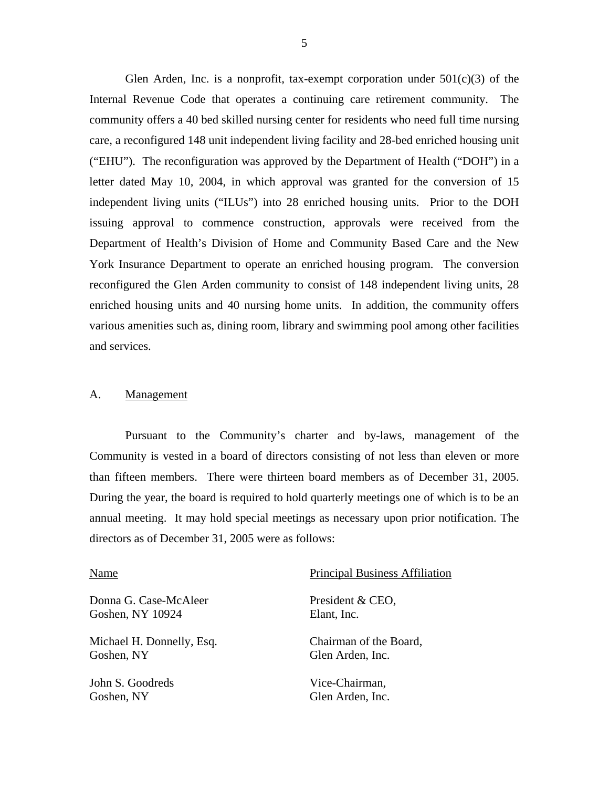<span id="page-6-0"></span>Glen Arden, Inc. is a nonprofit, tax-exempt corporation under  $501(c)(3)$  of the Internal Revenue Code that operates a continuing care retirement community. The community offers a 40 bed skilled nursing center for residents who need full time nursing care, a reconfigured 148 unit independent living facility and 28-bed enriched housing unit ("EHU"). The reconfiguration was approved by the Department of Health ("DOH") in a letter dated May 10, 2004, in which approval was granted for the conversion of 15 independent living units ("ILUs") into 28 enriched housing units. Prior to the DOH issuing approval to commence construction, approvals were received from the Department of Health's Division of Home and Community Based Care and the New York Insurance Department to operate an enriched housing program. The conversion reconfigured the Glen Arden community to consist of 148 independent living units, 28 enriched housing units and 40 nursing home units. In addition, the community offers various amenities such as, dining room, library and swimming pool among other facilities and services.

#### A. Management

Pursuant to the Community's charter and by-laws, management of the Community is vested in a board of directors consisting of not less than eleven or more than fifteen members. There were thirteen board members as of December 31, 2005. During the year, the board is required to hold quarterly meetings one of which is to be an annual meeting. It may hold special meetings as necessary upon prior notification. The directors as of December 31, 2005 were as follows:

| Name                      | <b>Principal Business Affiliation</b> |
|---------------------------|---------------------------------------|
| Donna G. Case-McAleer     | President & CEO,                      |
| Goshen, NY 10924          | Elant, Inc.                           |
| Michael H. Donnelly, Esq. | Chairman of the Board,                |
| Goshen, NY                | Glen Arden, Inc.                      |
| John S. Goodreds          | Vice-Chairman,                        |
| Goshen, NY                | Glen Arden, Inc.                      |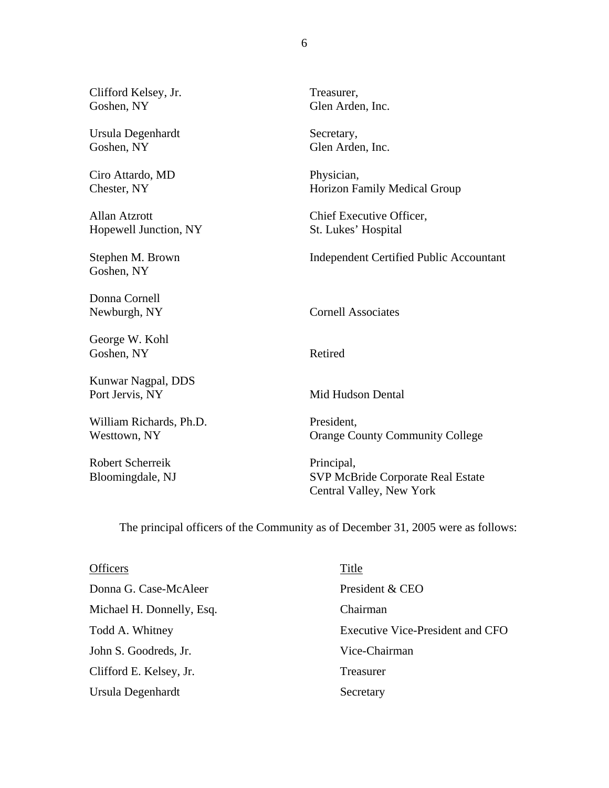Clifford Kelsey, Jr. Treasurer, Goshen, NY Glen Arden, Inc.

Ursula Degenhardt Secretary, Goshen, NY Glen Arden, Inc.

Ciro Attardo, MD Physician,

Hopewell Junction, NY St. Lukes' Hospital

Goshen, NY

Donna Cornell

George W. Kohl Goshen, NY Retired

Kunwar Nagpal, DDS Port Jervis, NY Mid Hudson Dental

William Richards, Ph.D. President,

Robert Scherreik Principal,

Chester, NY Horizon Family Medical Group

Allan Atzrott Chief Executive Officer,

Stephen M. Brown Independent Certified Public Accountant

Newburgh, NY Cornell Associates

Westtown, NY Community College

Bloomingdale, NJ SVP McBride Corporate Real Estate Central Valley, New York

The principal officers of the Community as of December 31, 2005 were as follows:

| <b>Officers</b>           | Title                            |
|---------------------------|----------------------------------|
| Donna G. Case-McAleer     | President & CEO                  |
| Michael H. Donnelly, Esq. | Chairman                         |
| Todd A. Whitney           | Executive Vice-President and CFO |
| John S. Goodreds, Jr.     | Vice-Chairman                    |
| Clifford E. Kelsey, Jr.   | Treasurer                        |
| Ursula Degenhardt         | Secretary                        |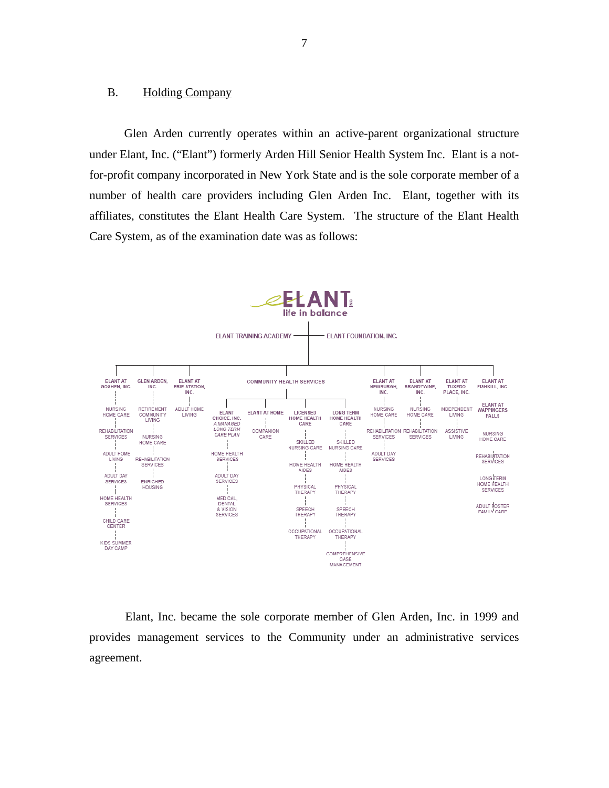#### <span id="page-8-0"></span>B. Holding Company

Glen Arden currently operates within an active-parent organizational structure under Elant, Inc. ("Elant") formerly Arden Hill Senior Health System Inc. Elant is a notfor-profit company incorporated in New York State and is the sole corporate member of a number of health care providers including Glen Arden Inc. Elant, together with its affiliates, constitutes the Elant Health Care System. The structure of the Elant Health Care System, as of the examination date was as follows:



Elant, Inc. became the sole corporate member of Glen Arden, Inc. in 1999 and provides management services to the Community under an administrative services agreement.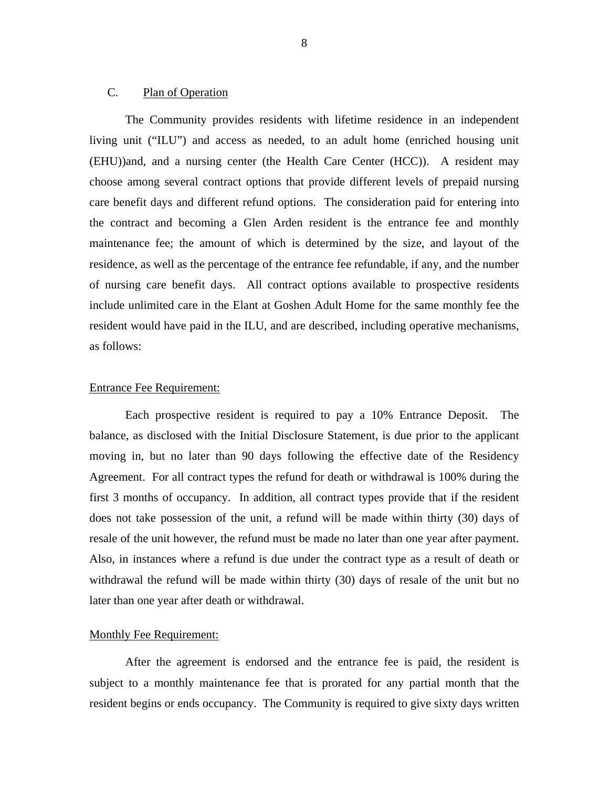#### <span id="page-9-0"></span>C. Plan of Operation

The Community provides residents with lifetime residence in an independent living unit ("ILU") and access as needed, to an adult home (enriched housing unit (EHU))and, and a nursing center (the Health Care Center (HCC)). A resident may choose among several contract options that provide different levels of prepaid nursing care benefit days and different refund options. The consideration paid for entering into the contract and becoming a Glen Arden resident is the entrance fee and monthly maintenance fee; the amount of which is determined by the size, and layout of the residence, as well as the percentage of the entrance fee refundable, if any, and the number of nursing care benefit days. All contract options available to prospective residents include unlimited care in the Elant at Goshen Adult Home for the same monthly fee the resident would have paid in the ILU, and are described, including operative mechanisms, as follows:

#### Entrance Fee Requirement:

Each prospective resident is required to pay a 10% Entrance Deposit. The balance, as disclosed with the Initial Disclosure Statement, is due prior to the applicant moving in, but no later than 90 days following the effective date of the Residency Agreement. For all contract types the refund for death or withdrawal is 100% during the first 3 months of occupancy. In addition, all contract types provide that if the resident does not take possession of the unit, a refund will be made within thirty (30) days of resale of the unit however, the refund must be made no later than one year after payment. Also, in instances where a refund is due under the contract type as a result of death or withdrawal the refund will be made within thirty (30) days of resale of the unit but no later than one year after death or withdrawal.

#### Monthly Fee Requirement:

After the agreement is endorsed and the entrance fee is paid, the resident is subject to a monthly maintenance fee that is prorated for any partial month that the resident begins or ends occupancy. The Community is required to give sixty days written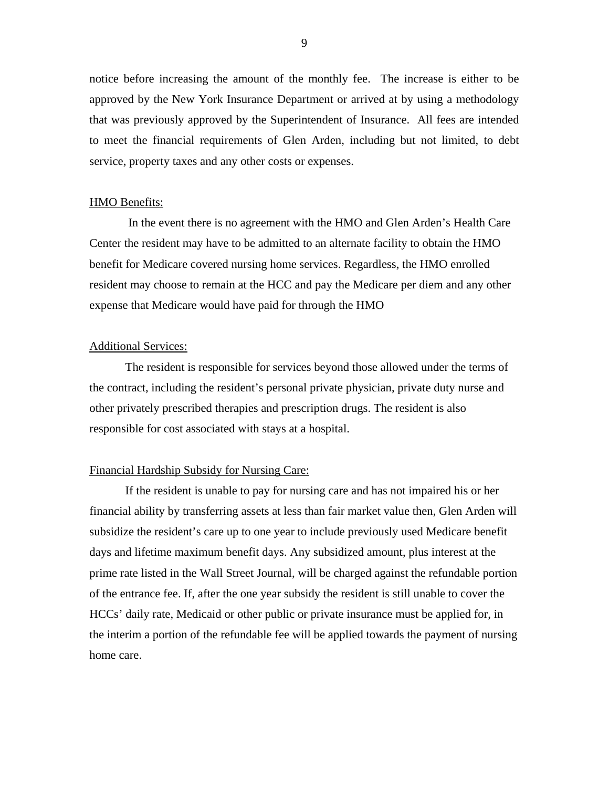notice before increasing the amount of the monthly fee. The increase is either to be approved by the New York Insurance Department or arrived at by using a methodology that was previously approved by the Superintendent of Insurance. All fees are intended to meet the financial requirements of Glen Arden, including but not limited, to debt service, property taxes and any other costs or expenses.

#### HMO Benefits:

 In the event there is no agreement with the HMO and Glen Arden's Health Care Center the resident may have to be admitted to an alternate facility to obtain the HMO benefit for Medicare covered nursing home services. Regardless, the HMO enrolled resident may choose to remain at the HCC and pay the Medicare per diem and any other expense that Medicare would have paid for through the HMO

#### Additional Services:

The resident is responsible for services beyond those allowed under the terms of the contract, including the resident's personal private physician, private duty nurse and other privately prescribed therapies and prescription drugs. The resident is also responsible for cost associated with stays at a hospital.

#### Financial Hardship Subsidy for Nursing Care:

If the resident is unable to pay for nursing care and has not impaired his or her financial ability by transferring assets at less than fair market value then, Glen Arden will subsidize the resident's care up to one year to include previously used Medicare benefit days and lifetime maximum benefit days. Any subsidized amount, plus interest at the prime rate listed in the Wall Street Journal, will be charged against the refundable portion of the entrance fee. If, after the one year subsidy the resident is still unable to cover the HCCs' daily rate, Medicaid or other public or private insurance must be applied for, in the interim a portion of the refundable fee will be applied towards the payment of nursing home care.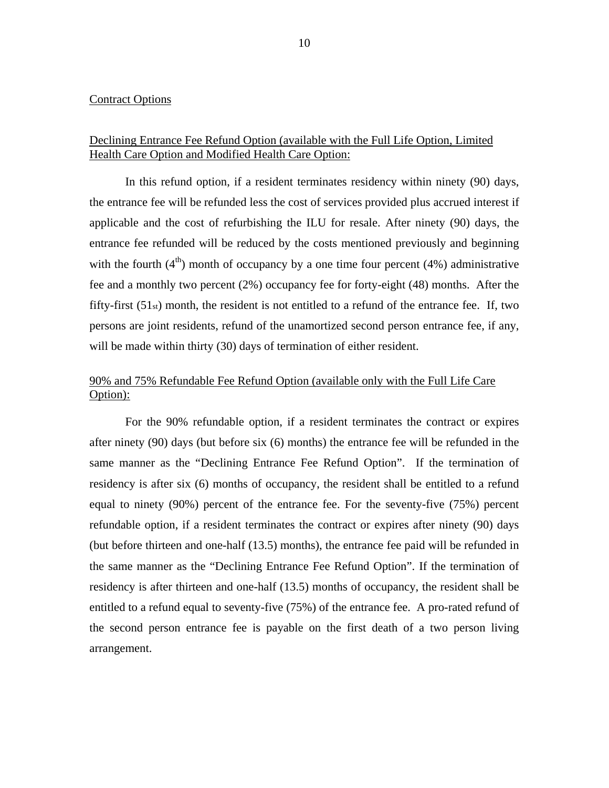#### Contract Options

#### Declining Entrance Fee Refund Option (available with the Full Life Option, Limited Health Care Option and Modified Health Care Option:

In this refund option, if a resident terminates residency within ninety (90) days, the entrance fee will be refunded less the cost of services provided plus accrued interest if applicable and the cost of refurbishing the ILU for resale. After ninety (90) days, the entrance fee refunded will be reduced by the costs mentioned previously and beginning with the fourth  $(4<sup>th</sup>)$  month of occupancy by a one time four percent  $(4%)$  administrative fee and a monthly two percent (2%) occupancy fee for forty-eight (48) months. After the fifty-first  $(51<sub>st</sub>)$  month, the resident is not entitled to a refund of the entrance fee. If, two persons are joint residents, refund of the unamortized second person entrance fee, if any, will be made within thirty (30) days of termination of either resident.

## 90% and 75% Refundable Fee Refund Option (available only with the Full Life Care Option):

For the 90% refundable option, if a resident terminates the contract or expires after ninety (90) days (but before six (6) months) the entrance fee will be refunded in the same manner as the "Declining Entrance Fee Refund Option". If the termination of residency is after six (6) months of occupancy, the resident shall be entitled to a refund equal to ninety (90%) percent of the entrance fee. For the seventy-five (75%) percent refundable option, if a resident terminates the contract or expires after ninety (90) days (but before thirteen and one-half (13.5) months), the entrance fee paid will be refunded in the same manner as the "Declining Entrance Fee Refund Option". If the termination of residency is after thirteen and one-half (13.5) months of occupancy, the resident shall be entitled to a refund equal to seventy-five (75%) of the entrance fee. A pro-rated refund of the second person entrance fee is payable on the first death of a two person living arrangement.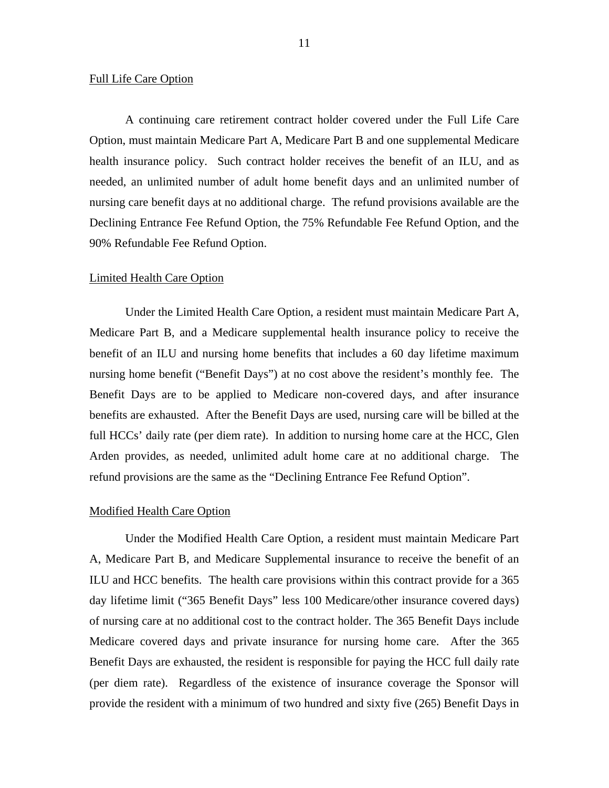#### Full Life Care Option

A continuing care retirement contract holder covered under the Full Life Care Option, must maintain Medicare Part A, Medicare Part B and one supplemental Medicare health insurance policy. Such contract holder receives the benefit of an ILU, and as needed, an unlimited number of adult home benefit days and an unlimited number of nursing care benefit days at no additional charge. The refund provisions available are the Declining Entrance Fee Refund Option, the 75% Refundable Fee Refund Option, and the 90% Refundable Fee Refund Option.

#### Limited Health Care Option

Under the Limited Health Care Option, a resident must maintain Medicare Part A, Medicare Part B, and a Medicare supplemental health insurance policy to receive the benefit of an ILU and nursing home benefits that includes a 60 day lifetime maximum nursing home benefit ("Benefit Days") at no cost above the resident's monthly fee. The Benefit Days are to be applied to Medicare non-covered days, and after insurance benefits are exhausted. After the Benefit Days are used, nursing care will be billed at the full HCCs' daily rate (per diem rate). In addition to nursing home care at the HCC, Glen Arden provides, as needed, unlimited adult home care at no additional charge. The refund provisions are the same as the "Declining Entrance Fee Refund Option".

#### Modified Health Care Option

Under the Modified Health Care Option, a resident must maintain Medicare Part A, Medicare Part B, and Medicare Supplemental insurance to receive the benefit of an ILU and HCC benefits. The health care provisions within this contract provide for a 365 day lifetime limit ("365 Benefit Days" less 100 Medicare/other insurance covered days) of nursing care at no additional cost to the contract holder. The 365 Benefit Days include Medicare covered days and private insurance for nursing home care. After the 365 Benefit Days are exhausted, the resident is responsible for paying the HCC full daily rate (per diem rate). Regardless of the existence of insurance coverage the Sponsor will provide the resident with a minimum of two hundred and sixty five (265) Benefit Days in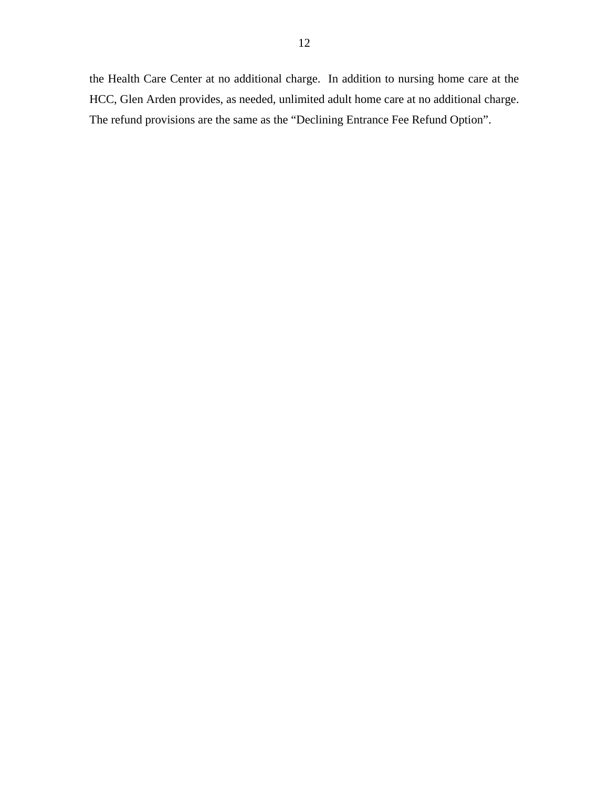the Health Care Center at no additional charge. In addition to nursing home care at the HCC, Glen Arden provides, as needed, unlimited adult home care at no additional charge. The refund provisions are the same as the "Declining Entrance Fee Refund Option".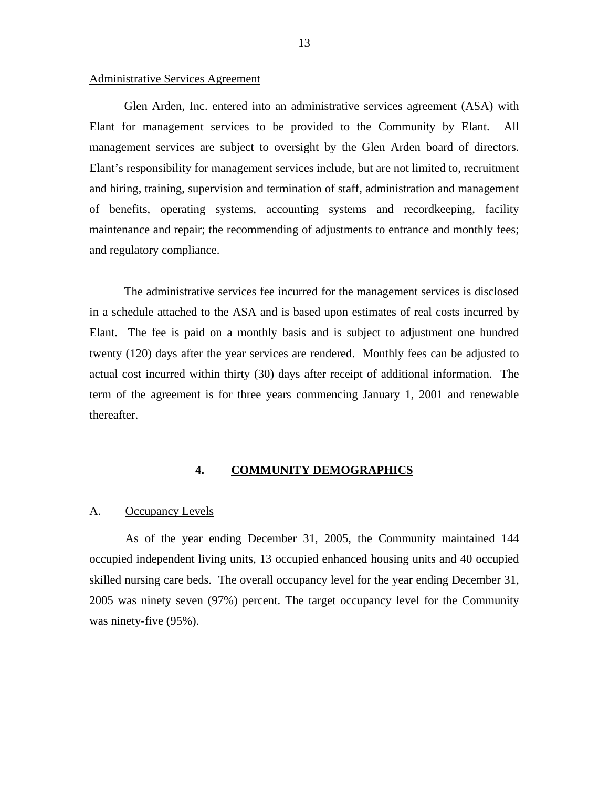#### <span id="page-14-0"></span>Administrative Services Agreement

Glen Arden, Inc. entered into an administrative services agreement (ASA) with Elant for management services to be provided to the Community by Elant. All management services are subject to oversight by the Glen Arden board of directors. Elant's responsibility for management services include, but are not limited to, recruitment and hiring, training, supervision and termination of staff, administration and management of benefits, operating systems, accounting systems and recordkeeping, facility maintenance and repair; the recommending of adjustments to entrance and monthly fees; and regulatory compliance.

The administrative services fee incurred for the management services is disclosed in a schedule attached to the ASA and is based upon estimates of real costs incurred by Elant. The fee is paid on a monthly basis and is subject to adjustment one hundred twenty (120) days after the year services are rendered. Monthly fees can be adjusted to actual cost incurred within thirty (30) days after receipt of additional information. The term of the agreement is for three years commencing January 1, 2001 and renewable thereafter.

## **4. COMMUNITY DEMOGRAPHICS**

#### A. Occupancy Levels

As of the year ending December 31, 2005, the Community maintained 144 occupied independent living units, 13 occupied enhanced housing units and 40 occupied skilled nursing care beds. The overall occupancy level for the year ending December 31, 2005 was ninety seven (97%) percent. The target occupancy level for the Community was ninety-five (95%).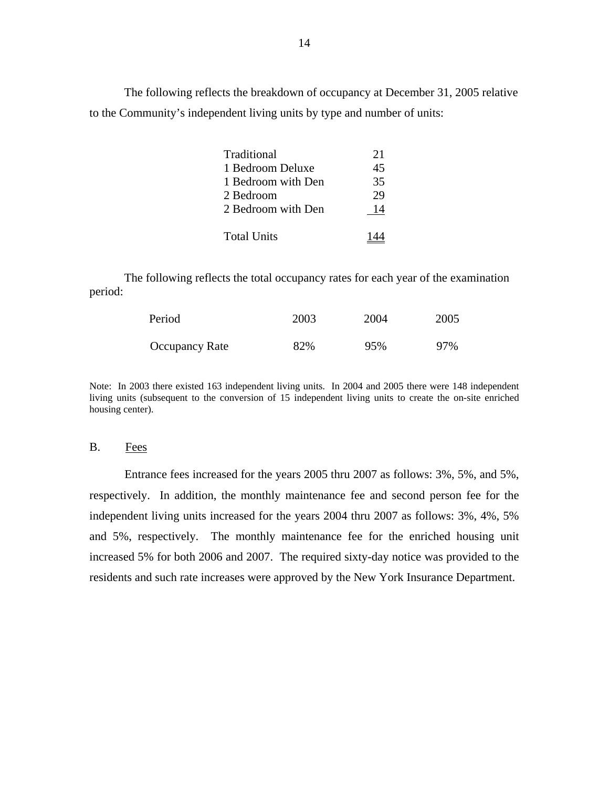The following reflects the breakdown of occupancy at December 31, 2005 relative to the Community's independent living units by type and number of units:

| Traditional        | 21 |
|--------------------|----|
| 1 Bedroom Deluxe   | 45 |
| 1 Bedroom with Den | 35 |
| 2 Bedroom          | 29 |
| 2 Bedroom with Den | 14 |
| <b>Total Units</b> |    |

The following reflects the total occupancy rates for each year of the examination period:

| Period                | 2003 | 2004 | 2005 |
|-----------------------|------|------|------|
| <b>Occupancy Rate</b> | 82%  | 95%  | 97%  |

 Note: In 2003 there existed 163 independent living units. In 2004 and 2005 there were 148 independent living units (subsequent to the conversion of 15 independent living units to create the on-site enriched housing center).

#### B. Fees

Entrance fees increased for the years 2005 thru 2007 as follows: 3%, 5%, and 5%, respectively. In addition, the monthly maintenance fee and second person fee for the independent living units increased for the years 2004 thru 2007 as follows: 3%, 4%, 5% and 5%, respectively. The monthly maintenance fee for the enriched housing unit increased 5% for both 2006 and 2007. The required sixty-day notice was provided to the residents and such rate increases were approved by the New York Insurance Department.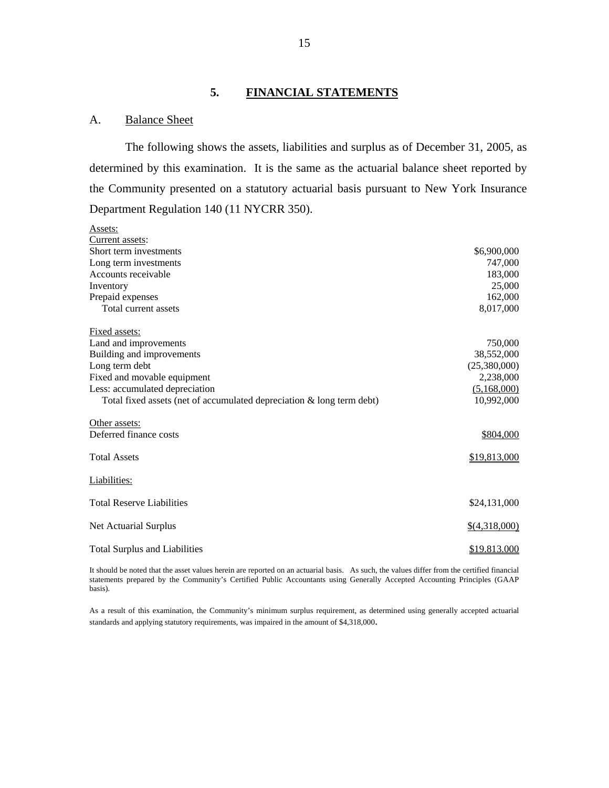#### **5. FINANCIAL STATEMENTS**

#### A. Balance Sheet

The following shows the assets, liabilities and surplus as of December 31, 2005, as determined by this examination. It is the same as the actuarial balance sheet reported by the Community presented on a statutory actuarial basis pursuant to New York Insurance Department Regulation 140 (11 NYCRR 350).

| Assets:                                                               |                     |
|-----------------------------------------------------------------------|---------------------|
| Current assets:                                                       |                     |
| Short term investments                                                | \$6,900,000         |
| Long term investments                                                 | 747,000             |
| Accounts receivable                                                   | 183,000             |
| Inventory                                                             | 25,000              |
| Prepaid expenses                                                      | 162,000             |
| Total current assets                                                  | 8,017,000           |
| Fixed assets:                                                         |                     |
| Land and improvements                                                 | 750,000             |
| Building and improvements                                             | 38,552,000          |
| Long term debt                                                        | (25,380,000)        |
| Fixed and movable equipment                                           | 2,238,000           |
| Less: accumulated depreciation                                        | (5,168,000)         |
| Total fixed assets (net of accumulated depreciation & long term debt) | 10,992,000          |
| Other assets:                                                         |                     |
| Deferred finance costs                                                | \$804,000           |
| <b>Total Assets</b>                                                   | \$19,813,000        |
| Liabilities:                                                          |                     |
| <b>Total Reserve Liabilities</b>                                      | \$24,131,000        |
| Net Actuarial Surplus                                                 | $$$ (4,318,000)     |
| <b>Total Surplus and Liabilities</b>                                  | <u>\$19.813.000</u> |

 It should be noted that the asset values herein are reported on an actuarial basis. As such, the values differ from the certified financial statements prepared by the Community's Certified Public Accountants using Generally Accepted Accounting Principles (GAAP basis).

As a result of this examination, the Community's minimum surplus requirement, as determined using generally accepted actuarial standards and applying statutory requirements, was impaired in the amount of \$4,318,000.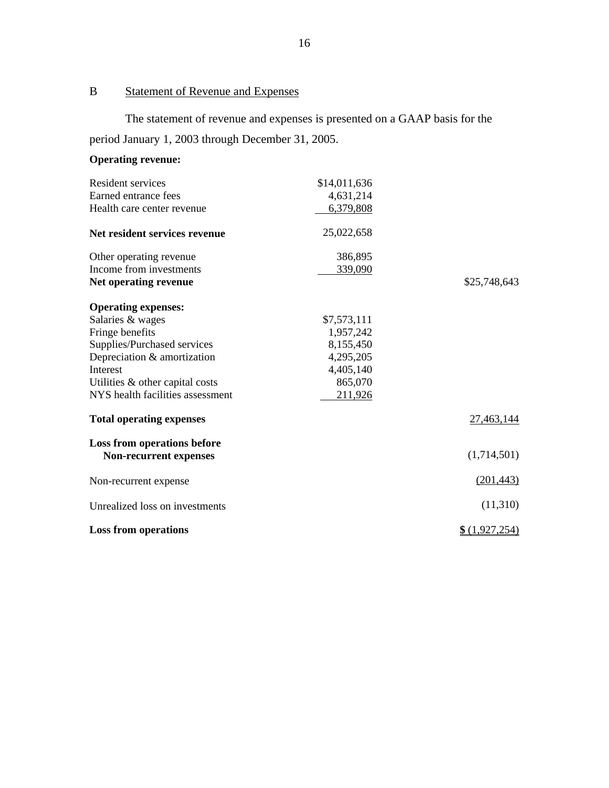## B Statement of Revenue and Expenses

The statement of revenue and expenses is presented on a GAAP basis for the period January 1, 2003 through December 31, 2005.

## **Operating revenue:**

| Resident services                                     | \$14,011,636 |                |
|-------------------------------------------------------|--------------|----------------|
| Earned entrance fees                                  | 4,631,214    |                |
| Health care center revenue                            | 6,379,808    |                |
| Net resident services revenue                         | 25,022,658   |                |
| Other operating revenue                               | 386,895      |                |
| Income from investments                               | 339,090      |                |
| Net operating revenue                                 |              | \$25,748,643   |
| <b>Operating expenses:</b>                            |              |                |
| Salaries & wages                                      | \$7,573,111  |                |
| Fringe benefits                                       | 1,957,242    |                |
| Supplies/Purchased services                           | 8,155,450    |                |
| Depreciation & amortization                           | 4,295,205    |                |
| <b>Interest</b>                                       | 4,405,140    |                |
| Utilities & other capital costs                       | 865,070      |                |
| NYS health facilities assessment                      | 211,926      |                |
| <b>Total operating expenses</b>                       |              | 27,463,144     |
| Loss from operations before<br>Non-recurrent expenses |              | (1,714,501)    |
| Non-recurrent expense                                 |              | (201, 443)     |
| Unrealized loss on investments                        |              | (11,310)       |
| <b>Loss from operations</b>                           |              | \$ (1,927,254) |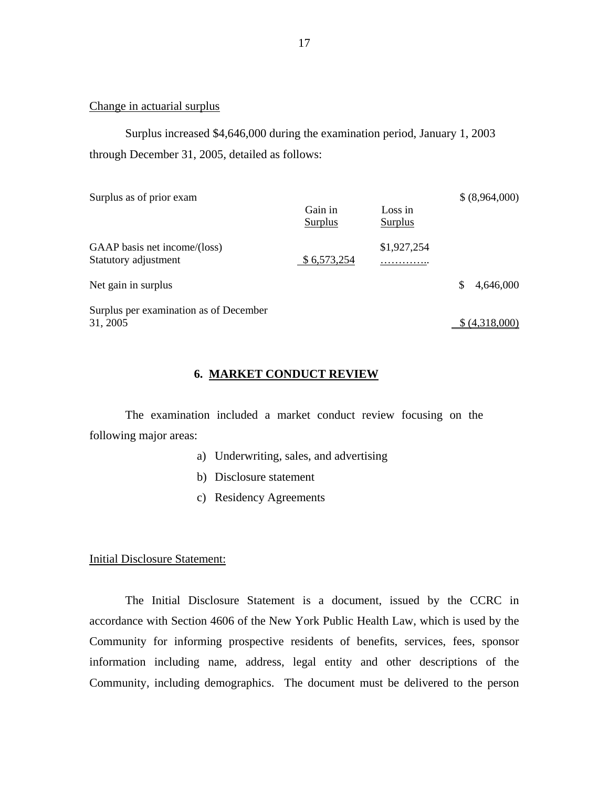#### Change in actuarial surplus

Surplus increased \$4,646,000 during the examination period, January 1, 2003 through December 31, 2005, detailed as follows:

| Surplus as of prior exam                             |                    |                    | \$(8,964,000)   |
|------------------------------------------------------|--------------------|--------------------|-----------------|
|                                                      | Gain in<br>Surplus | Loss in<br>Surplus |                 |
| GAAP basis net income/(loss)<br>Statutory adjustment | \$6,573,254        | \$1,927,254<br>.   |                 |
| Net gain in surplus                                  |                    |                    | \$<br>4,646,000 |
| Surplus per examination as of December<br>31, 2005   |                    |                    | (4,318,000)     |

#### **6. MARKET CONDUCT REVIEW**

The examination included a market conduct review focusing on the following major areas:

- a) Underwriting, sales, and advertising
- b) Disclosure statement
- c) Residency Agreements

Initial Disclosure Statement:

The Initial Disclosure Statement is a document, issued by the CCRC in accordance with Section 4606 of the New York Public Health Law, which is used by the Community for informing prospective residents of benefits, services, fees, sponsor information including name, address, legal entity and other descriptions of the Community, including demographics. The document must be delivered to the person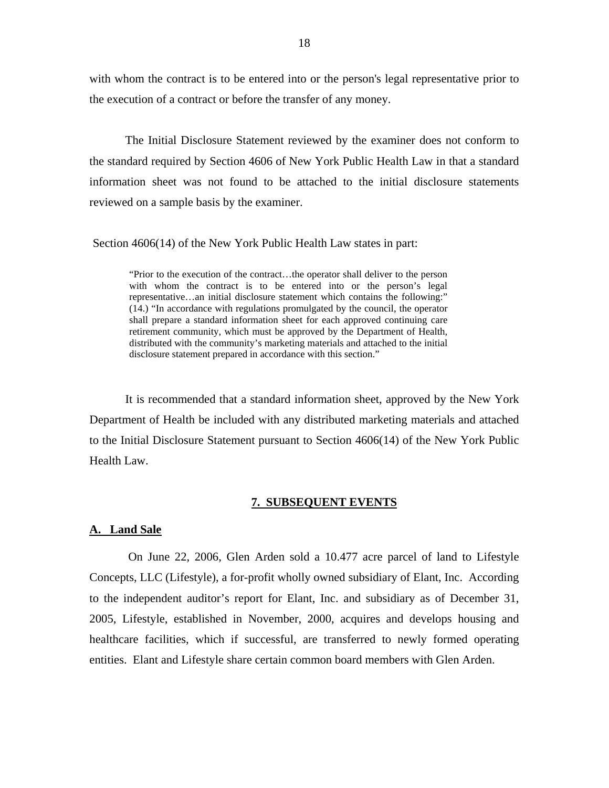<span id="page-19-0"></span>with whom the contract is to be entered into or the person's legal representative prior to the execution of a contract or before the transfer of any money.

The Initial Disclosure Statement reviewed by the examiner does not conform to the standard required by Section 4606 of New York Public Health Law in that a standard information sheet was not found to be attached to the initial disclosure statements reviewed on a sample basis by the examiner.

Section 4606(14) of the New York Public Health Law states in part:

"Prior to the execution of the contract…the operator shall deliver to the person with whom the contract is to be entered into or the person's legal representative…an initial disclosure statement which contains the following:" (14.) "In accordance with regulations promulgated by the council, the operator shall prepare a standard information sheet for each approved continuing care retirement community, which must be approved by the Department of Health, distributed with the community's marketing materials and attached to the initial disclosure statement prepared in accordance with this section."

It is recommended that a standard information sheet, approved by the New York Department of Health be included with any distributed marketing materials and attached to the Initial Disclosure Statement pursuant to Section 4606(14) of the New York Public Health Law.

#### **7. SUBSEQUENT EVENTS**

#### **A. Land Sale**

On June 22, 2006, Glen Arden sold a 10.477 acre parcel of land to Lifestyle Concepts, LLC (Lifestyle), a for-profit wholly owned subsidiary of Elant, Inc. According to the independent auditor's report for Elant, Inc. and subsidiary as of December 31, 2005, Lifestyle, established in November, 2000, acquires and develops housing and healthcare facilities, which if successful, are transferred to newly formed operating entities. Elant and Lifestyle share certain common board members with Glen Arden.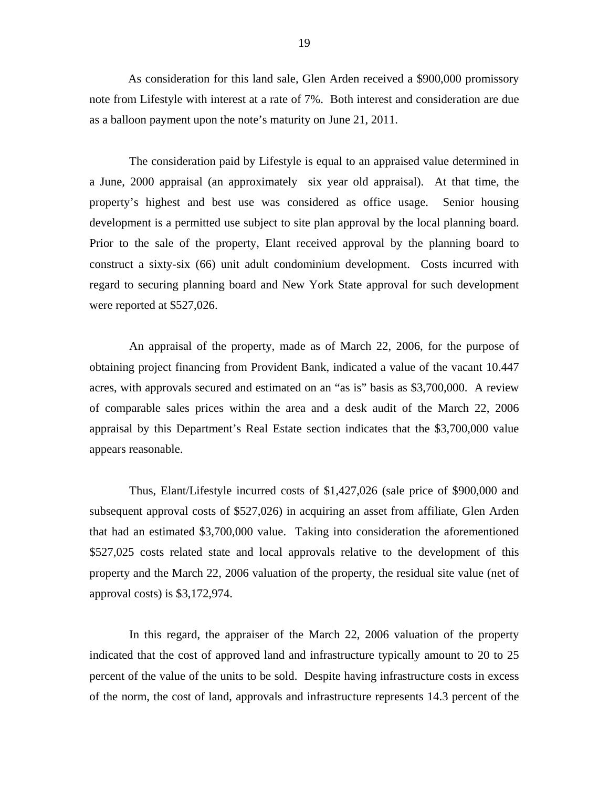As consideration for this land sale, Glen Arden received a \$900,000 promissory note from Lifestyle with interest at a rate of 7%. Both interest and consideration are due as a balloon payment upon the note's maturity on June 21, 2011.

 development is a permitted use subject to site plan approval by the local planning board. Prior to the sale of the property, Elant received approval by the planning board to The consideration paid by Lifestyle is equal to an appraised value determined in a June, 2000 appraisal (an approximately six year old appraisal). At that time, the property's highest and best use was considered as office usage. Senior housing construct a sixty-six (66) unit adult condominium development. Costs incurred with regard to securing planning board and New York State approval for such development were reported at \$527,026.

An appraisal of the property, made as of March 22, 2006, for the purpose of obtaining project financing from Provident Bank, indicated a value of the vacant 10.447 acres, with approvals secured and estimated on an "as is" basis as \$3,700,000. A review of comparable sales prices within the area and a desk audit of the March 22, 2006 appraisal by this Department's Real Estate section indicates that the \$3,700,000 value appears reasonable.

Thus, Elant/Lifestyle incurred costs of \$1,427,026 (sale price of \$900,000 and subsequent approval costs of \$527,026) in acquiring an asset from affiliate, Glen Arden that had an estimated \$3,700,000 value. Taking into consideration the aforementioned \$527,025 costs related state and local approvals relative to the development of this property and the March 22, 2006 valuation of the property, the residual site value (net of approval costs) is \$3,172,974.

In this regard, the appraiser of the March 22, 2006 valuation of the property indicated that the cost of approved land and infrastructure typically amount to 20 to 25 percent of the value of the units to be sold. Despite having infrastructure costs in excess of the norm, the cost of land, approvals and infrastructure represents 14.3 percent of the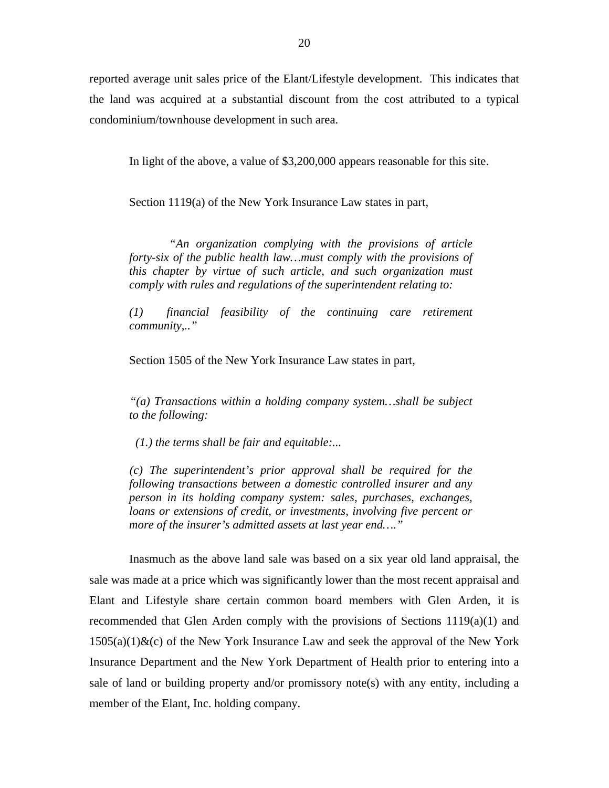reported average unit sales price of the Elant/Lifestyle development. This indicates that the land was acquired at a substantial discount from the cost attributed to a typical condominium/townhouse development in such area.

In light of the above, a value of \$3,200,000 appears reasonable for this site.

Section 1119(a) of the New York Insurance Law states in part,

*"An organization complying with the provisions of article forty-six of the public health law…must comply with the provisions of this chapter by virtue of such article, and such organization must comply with rules and regulations of the superintendent relating to:* 

*(1) financial feasibility of the continuing care retirement community,.."* 

Section 1505 of the New York Insurance Law states in part,

*"(a) Transactions within a holding company system…shall be subject to the following:* 

 *(1.) the terms shall be fair and equitable:...* 

*(c) The superintendent's prior approval shall be required for the following transactions between a domestic controlled insurer and any person in its holding company system: sales, purchases, exchanges, loans or extensions of credit, or investments, involving five percent or more of the insurer's admitted assets at last year end…."* 

Inasmuch as the above land sale was based on a six year old land appraisal, the sale was made at a price which was significantly lower than the most recent appraisal and Elant and Lifestyle share certain common board members with Glen Arden, it is recommended that Glen Arden comply with the provisions of Sections 1119(a)(1) and  $1505(a)(1)$ &(c) of the New York Insurance Law and seek the approval of the New York Insurance Department and the New York Department of Health prior to entering into a sale of land or building property and/or promissory note(s) with any entity, including a member of the Elant, Inc. holding company.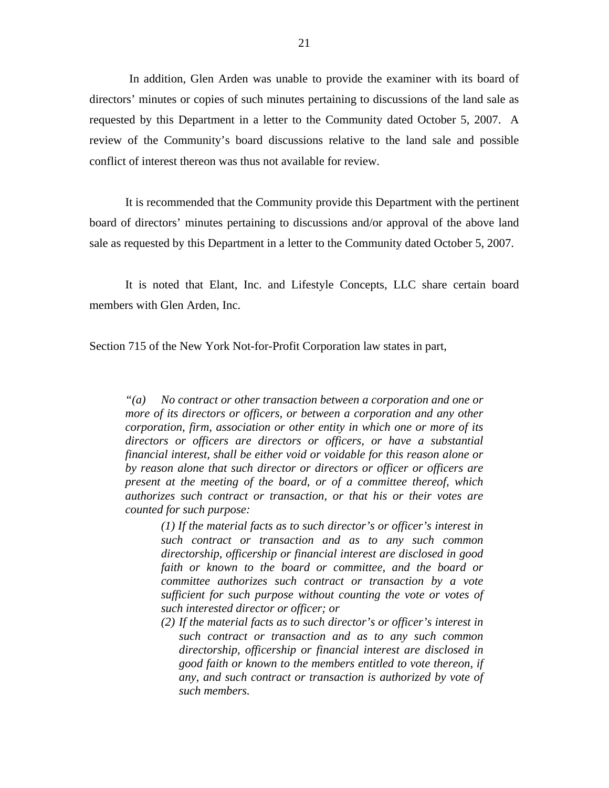In addition, Glen Arden was unable to provide the examiner with its board of directors' minutes or copies of such minutes pertaining to discussions of the land sale as requested by this Department in a letter to the Community dated October 5, 2007. A review of the Community's board discussions relative to the land sale and possible conflict of interest thereon was thus not available for review.

It is recommended that the Community provide this Department with the pertinent board of directors' minutes pertaining to discussions and/or approval of the above land sale as requested by this Department in a letter to the Community dated October 5, 2007.

It is noted that Elant, Inc. and Lifestyle Concepts, LLC share certain board members with Glen Arden, Inc.

Section 715 of the New York Not-for-Profit Corporation law states in part,

*"(a) No contract or other transaction between a corporation and one or more of its directors or officers, or between a corporation and any other corporation, firm, association or other entity in which one or more of its directors or officers are directors or officers, or have a substantial financial interest, shall be either void or voidable for this reason alone or by reason alone that such director or directors or officer or officers are present at the meeting of the board, or of a committee thereof, which authorizes such contract or transaction, or that his or their votes are counted for such purpose:* 

> *(1) If the material facts as to such director's or officer's interest in such contract or transaction and as to any such common directorship, officership or financial interest are disclosed in good faith or known to the board or committee, and the board or committee authorizes such contract or transaction by a vote sufficient for such purpose without counting the vote or votes of such interested director or officer; or*

> *(2) If the material facts as to such director's or officer's interest in such contract or transaction and as to any such common directorship, officership or financial interest are disclosed in good faith or known to the members entitled to vote thereon, if any, and such contract or transaction is authorized by vote of such members.*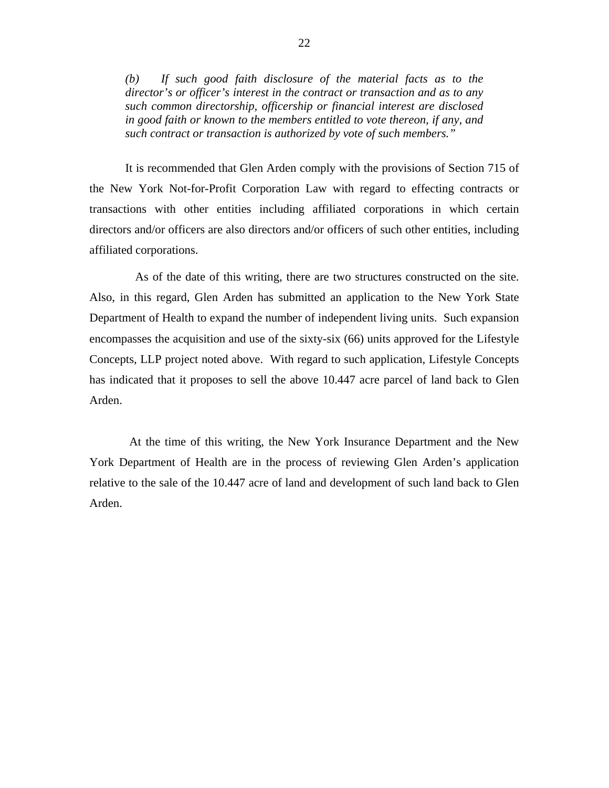*(b) If such good faith disclosure of the material facts as to the director's or officer's interest in the contract or transaction and as to any such common directorship, officership or financial interest are disclosed in good faith or known to the members entitled to vote thereon, if any, and such contract or transaction is authorized by vote of such members."* 

It is recommended that Glen Arden comply with the provisions of Section 715 of the New York Not-for-Profit Corporation Law with regard to effecting contracts or transactions with other entities including affiliated corporations in which certain directors and/or officers are also directors and/or officers of such other entities, including affiliated corporations.

As of the date of this writing, there are two structures constructed on the site. Also, in this regard, Glen Arden has submitted an application to the New York State Department of Health to expand the number of independent living units. Such expansion encompasses the acquisition and use of the sixty-six (66) units approved for the Lifestyle Concepts, LLP project noted above. With regard to such application, Lifestyle Concepts has indicated that it proposes to sell the above 10.447 acre parcel of land back to Glen Arden.

At the time of this writing, the New York Insurance Department and the New York Department of Health are in the process of reviewing Glen Arden's application relative to the sale of the 10.447 acre of land and development of such land back to Glen Arden.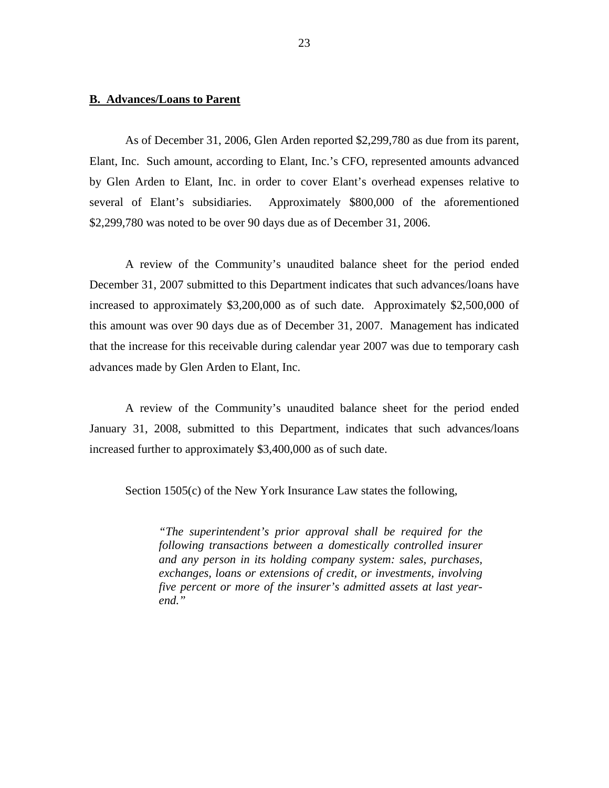#### **B. Advances/Loans to Parent**

As of December 31, 2006, Glen Arden reported \$2,299,780 as due from its parent, Elant, Inc. Such amount, according to Elant, Inc.'s CFO, represented amounts advanced by Glen Arden to Elant, Inc. in order to cover Elant's overhead expenses relative to several of Elant's subsidiaries. Approximately \$800,000 of the aforementioned \$2,299,780 was noted to be over 90 days due as of December 31, 2006.

A review of the Community's unaudited balance sheet for the period ended December 31, 2007 submitted to this Department indicates that such advances/loans have increased to approximately \$3,200,000 as of such date. Approximately \$2,500,000 of this amount was over 90 days due as of December 31, 2007. Management has indicated that the increase for this receivable during calendar year 2007 was due to temporary cash advances made by Glen Arden to Elant, Inc.

A review of the Community's unaudited balance sheet for the period ended January 31, 2008, submitted to this Department, indicates that such advances/loans increased further to approximately \$3,400,000 as of such date.

Section 1505(c) of the New York Insurance Law states the following,

*"The superintendent's prior approval shall be required for the following transactions between a domestically controlled insurer and any person in its holding company system: sales, purchases, exchanges, loans or extensions of credit, or investments, involving five percent or more of the insurer's admitted assets at last yearend."*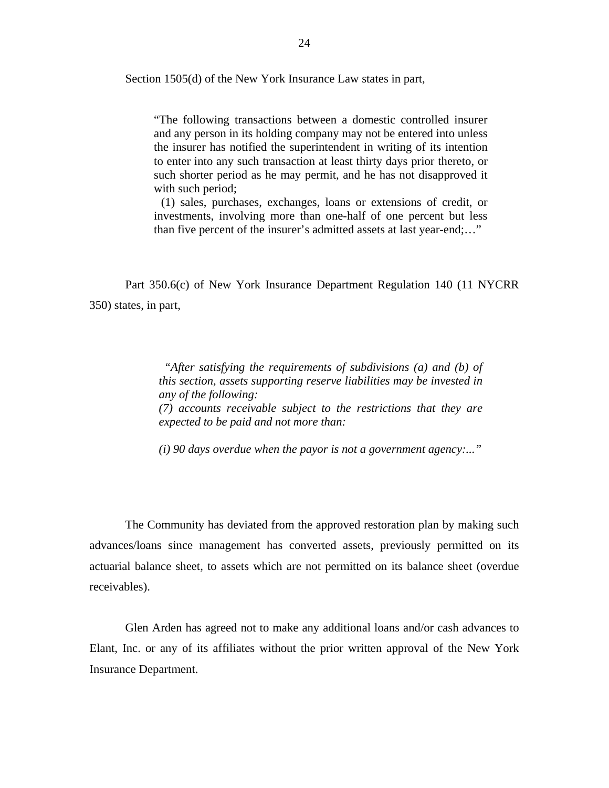Section 1505(d) of the New York Insurance Law states in part,

"The following transactions between a domestic controlled insurer and any person in its holding company may not be entered into unless the insurer has notified the superintendent in writing of its intention to enter into any such transaction at least thirty days prior thereto, or such shorter period as he may permit, and he has not disapproved it with such period;

(1) sales, purchases, exchanges, loans or extensions of credit, or investments, involving more than one-half of one percent but less than five percent of the insurer's admitted assets at last year-end;…"

Part 350.6(c) of New York Insurance Department Regulation 140 (11 NYCRR 350) states, in part,

> *"After satisfying the requirements of subdivisions (a) and (b) of this section, assets supporting reserve liabilities may be invested in any of the following: (7) accounts receivable subject to the restrictions that they are expected to be paid and not more than:*

> *(i) 90 days overdue when the payor is not a government agency:..."*

The Community has deviated from the approved restoration plan by making such advances/loans since management has converted assets, previously permitted on its actuarial balance sheet, to assets which are not permitted on its balance sheet (overdue receivables).

Glen Arden has agreed not to make any additional loans and/or cash advances to Elant, Inc. or any of its affiliates without the prior written approval of the New York Insurance Department.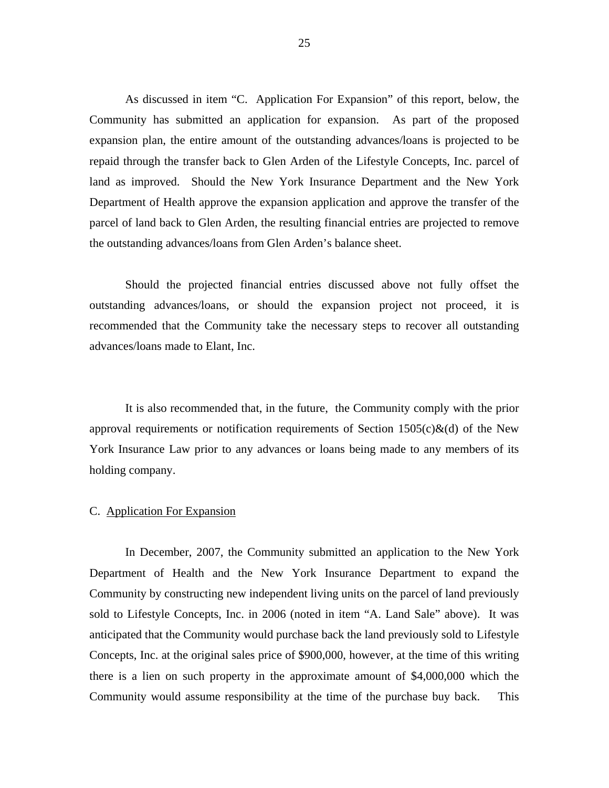As discussed in item "C. Application For Expansion" of this report, below, the Community has submitted an application for expansion. As part of the proposed expansion plan, the entire amount of the outstanding advances/loans is projected to be repaid through the transfer back to Glen Arden of the Lifestyle Concepts, Inc. parcel of land as improved. Should the New York Insurance Department and the New York Department of Health approve the expansion application and approve the transfer of the parcel of land back to Glen Arden, the resulting financial entries are projected to remove the outstanding advances/loans from Glen Arden's balance sheet.

advances/loans made to Elant, Inc. Should the projected financial entries discussed above not fully offset the outstanding advances/loans, or should the expansion project not proceed, it is recommended that the Community take the necessary steps to recover all outstanding

It is also recommended that, in the future, the Community comply with the prior approval requirements or notification requirements of Section  $1505(c)\&(d)$  of the New York Insurance Law prior to any advances or loans being made to any members of its holding company.

#### C. Application For Expansion

In December, 2007, the Community submitted an application to the New York Department of Health and the New York Insurance Department to expand the Community by constructing new independent living units on the parcel of land previously sold to Lifestyle Concepts, Inc. in 2006 (noted in item "A. Land Sale" above). It was anticipated that the Community would purchase back the land previously sold to Lifestyle Concepts, Inc. at the original sales price of \$900,000, however, at the time of this writing there is a lien on such property in the approximate amount of \$4,000,000 which the Community would assume responsibility at the time of the purchase buy back. This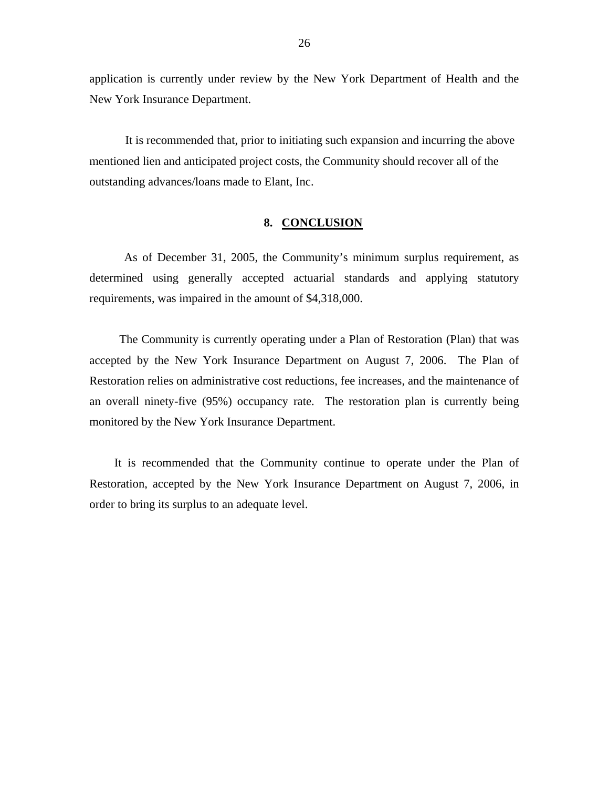<span id="page-27-0"></span>application is currently under review by the New York Department of Health and the New York Insurance Department.

It is recommended that, prior to initiating such expansion and incurring the above mentioned lien and anticipated project costs, the Community should recover all of the outstanding advances/loans made to Elant, Inc.

#### **8. CONCLUSION**

As of December 31, 2005, the Community's minimum surplus requirement, as determined using generally accepted actuarial standards and applying statutory requirements, was impaired in the amount of \$4,318,000.

The Community is currently operating under a Plan of Restoration (Plan) that was accepted by the New York Insurance Department on August 7, 2006. The Plan of Restoration relies on administrative cost reductions, fee increases, and the maintenance of an overall ninety-five (95%) occupancy rate. The restoration plan is currently being monitored by the New York Insurance Department.

It is recommended that the Community continue to operate under the Plan of Restoration, accepted by the New York Insurance Department on August 7, 2006, in order to bring its surplus to an adequate level.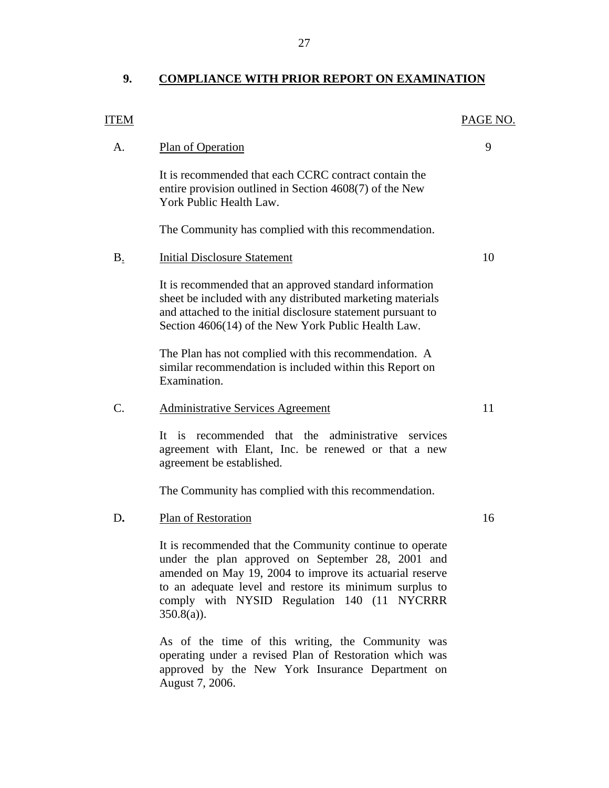## <span id="page-28-0"></span>9. COMPLIANCE WITH PRIOR REPORT ON EXAMINATION

| <b>ITEM</b>     |                                                                                                                                                                                                                                                                                                      | PAGE NO. |
|-----------------|------------------------------------------------------------------------------------------------------------------------------------------------------------------------------------------------------------------------------------------------------------------------------------------------------|----------|
| A.              | Plan of Operation                                                                                                                                                                                                                                                                                    | 9        |
|                 | It is recommended that each CCRC contract contain the<br>entire provision outlined in Section 4608(7) of the New<br>York Public Health Law.                                                                                                                                                          |          |
|                 | The Community has complied with this recommendation.                                                                                                                                                                                                                                                 |          |
| $B_{.}$         | <b>Initial Disclosure Statement</b>                                                                                                                                                                                                                                                                  | 10       |
|                 | It is recommended that an approved standard information<br>sheet be included with any distributed marketing materials<br>and attached to the initial disclosure statement pursuant to<br>Section 4606(14) of the New York Public Health Law.                                                         |          |
|                 | The Plan has not complied with this recommendation. A<br>similar recommendation is included within this Report on<br>Examination.                                                                                                                                                                    |          |
| $\mathcal{C}$ . | <b>Administrative Services Agreement</b>                                                                                                                                                                                                                                                             | 11       |
|                 | It is recommended that the administrative services<br>agreement with Elant, Inc. be renewed or that a new<br>agreement be established.                                                                                                                                                               |          |
|                 | The Community has complied with this recommendation.                                                                                                                                                                                                                                                 |          |
| D.              | Plan of Restoration                                                                                                                                                                                                                                                                                  | 16       |
|                 | It is recommended that the Community continue to operate<br>under the plan approved on September 28, 2001 and<br>amended on May 19, 2004 to improve its actuarial reserve<br>to an adequate level and restore its minimum surplus to<br>comply with NYSID Regulation 140 (11 NYCRRR<br>$350.8(a)$ ). |          |
|                 |                                                                                                                                                                                                                                                                                                      |          |

As of the time of this writing, the Community was operating under a revised Plan of Restoration which was approved by the New York Insurance Department on August 7, 2006.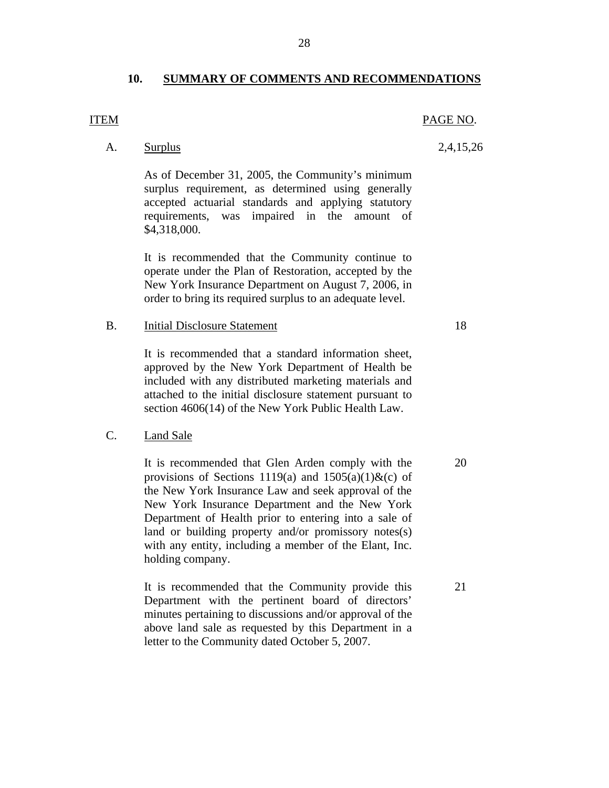#### **10. SUMMARY OF COMMENTS AND RECOMMENDATIONS**

#### <span id="page-29-0"></span>**ITEM**

A. Surplus 2,4,15,26

As of December 31, 2005, the Community's minimum surplus requirement, as determined using generally accepted actuarial standards and applying statutory requirements, was impaired in the amount of \$4,318,000.

It is recommended that the Community continue to operate under the Plan of Restoration, accepted by the New York Insurance Department on August 7, 2006, in order to bring its required surplus to an adequate level.

B. Initial Disclosure Statement 18

It is recommended that a standard information sheet, approved by the New York Department of Health be included with any distributed marketing materials and attached to the initial disclosure statement pursuant to section 4606(14) of the New York Public Health Law.

#### **Land Sale**

C. Land Sale<br>It is recommended that Glen Arden comply with the 20 provisions of Sections 1119(a) and  $1505(a)(1)$ &(c) of the New York Insurance Law and seek approval of the New York Insurance Department and the New York Department of Health prior to entering into a sale of land or building property and/or promissory notes(s) with any entity, including a member of the Elant, Inc. holding company.

> It is recommended that the Community provide this 21 Department with the pertinent board of directors' minutes pertaining to discussions and/or approval of the above land sale as requested by this Department in a letter to the Community dated October 5, 2007.

28

# PAGE NO.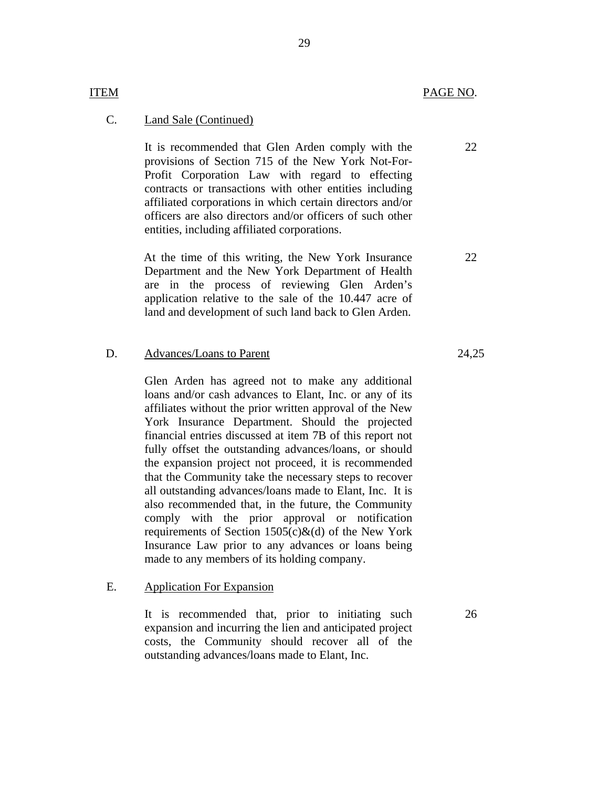#### **Land Sale (Continued)**

**ITEM** 

C. Land Sale (Continued)<br>It is recommended that Glen Arden comply with the provisions of Section 715 of the New York Not-For-Profit Corporation Law with regard to effecting contracts or transactions with other entities including affiliated corporations in which certain directors and/or officers are also directors and/or officers of such other entities, including affiliated corporations.

> At the time of this writing, the New York Insurance Department and the New York Department of Health are in the process of reviewing Glen Arden's application relative to the sale of the 10.447 acre of land and development of such land back to Glen Arden.

#### D. Advances/Loans to Parent 24,25

Glen Arden has agreed not to make any additional loans and/or cash advances to Elant, Inc. or any of its affiliates without the prior written approval of the New York Insurance Department. Should the projected financial entries discussed at item 7B of this report not fully offset the outstanding advances/loans, or should the expansion project not proceed, it is recommended that the Community take the necessary steps to recover all outstanding advances/loans made to Elant, Inc. It is also recommended that, in the future, the Community comply with the prior approval or notification requirements of Section  $1505(c)\&$  (d) of the New York Insurance Law prior to any advances or loans being made to any members of its holding company.

#### **Application For Expansion**

E. Application For Expansion<br>It is recommended that, prior to initiating such expansion and incurring the lien and anticipated project costs, the Community should recover all of the outstanding advances/loans made to Elant, Inc.

26

22

22